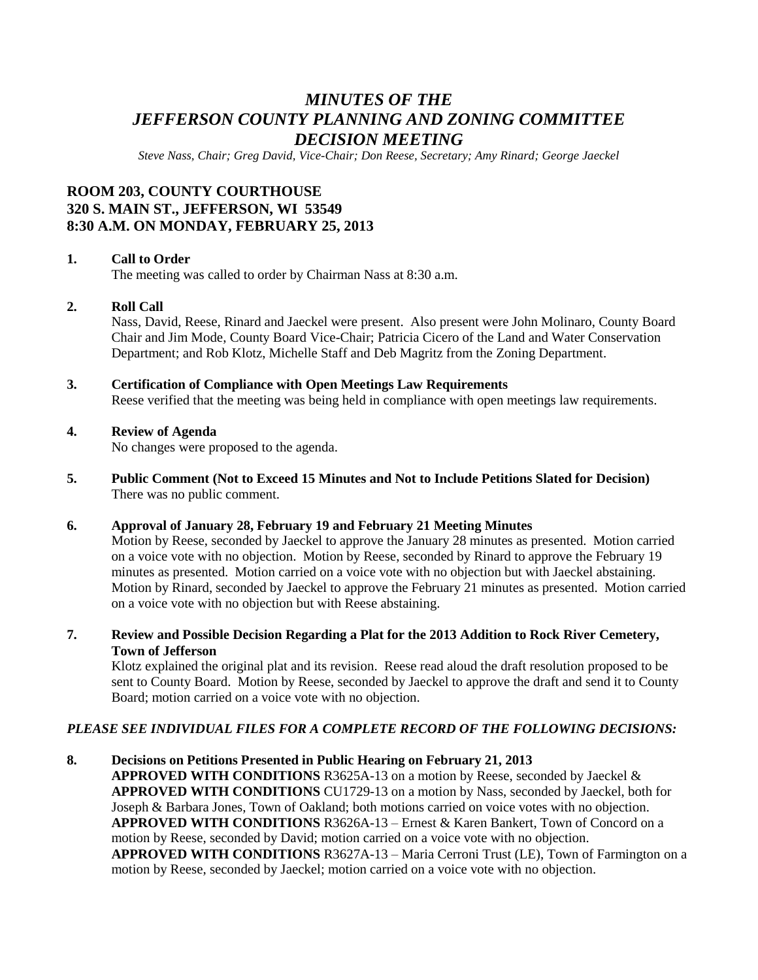# *MINUTES OF THE JEFFERSON COUNTY PLANNING AND ZONING COMMITTEE DECISION MEETING*

*Steve Nass, Chair; Greg David, Vice-Chair; Don Reese, Secretary; Amy Rinard; George Jaeckel*

## **ROOM 203, COUNTY COURTHOUSE 320 S. MAIN ST., JEFFERSON, WI 53549 8:30 A.M. ON MONDAY, FEBRUARY 25, 2013**

### **1. Call to Order**

The meeting was called to order by Chairman Nass at 8:30 a.m.

#### **2. Roll Call**

Nass, David, Reese, Rinard and Jaeckel were present. Also present were John Molinaro, County Board Chair and Jim Mode, County Board Vice-Chair; Patricia Cicero of the Land and Water Conservation Department; and Rob Klotz, Michelle Staff and Deb Magritz from the Zoning Department.

**3. Certification of Compliance with Open Meetings Law Requirements**

Reese verified that the meeting was being held in compliance with open meetings law requirements.

#### **4. Review of Agenda**

No changes were proposed to the agenda.

**5. Public Comment (Not to Exceed 15 Minutes and Not to Include Petitions Slated for Decision)** There was no public comment.

#### **6. Approval of January 28, February 19 and February 21 Meeting Minutes**

Motion by Reese, seconded by Jaeckel to approve the January 28 minutes as presented. Motion carried on a voice vote with no objection. Motion by Reese, seconded by Rinard to approve the February 19 minutes as presented. Motion carried on a voice vote with no objection but with Jaeckel abstaining. Motion by Rinard, seconded by Jaeckel to approve the February 21 minutes as presented. Motion carried on a voice vote with no objection but with Reese abstaining.

**7. Review and Possible Decision Regarding a Plat for the 2013 Addition to Rock River Cemetery, Town of Jefferson**

Klotz explained the original plat and its revision. Reese read aloud the draft resolution proposed to be sent to County Board. Motion by Reese, seconded by Jaeckel to approve the draft and send it to County Board; motion carried on a voice vote with no objection.

### *PLEASE SEE INDIVIDUAL FILES FOR A COMPLETE RECORD OF THE FOLLOWING DECISIONS:*

**8. Decisions on Petitions Presented in Public Hearing on February 21, 2013 APPROVED WITH CONDITIONS** R3625A-13 on a motion by Reese, seconded by Jaeckel & **APPROVED WITH CONDITIONS** CU1729-13 on a motion by Nass, seconded by Jaeckel, both for Joseph & Barbara Jones, Town of Oakland; both motions carried on voice votes with no objection. **APPROVED WITH CONDITIONS** R3626A-13 – Ernest & Karen Bankert, Town of Concord on a motion by Reese, seconded by David; motion carried on a voice vote with no objection. **APPROVED WITH CONDITIONS** R3627A-13 – Maria Cerroni Trust (LE), Town of Farmington on a motion by Reese, seconded by Jaeckel; motion carried on a voice vote with no objection.